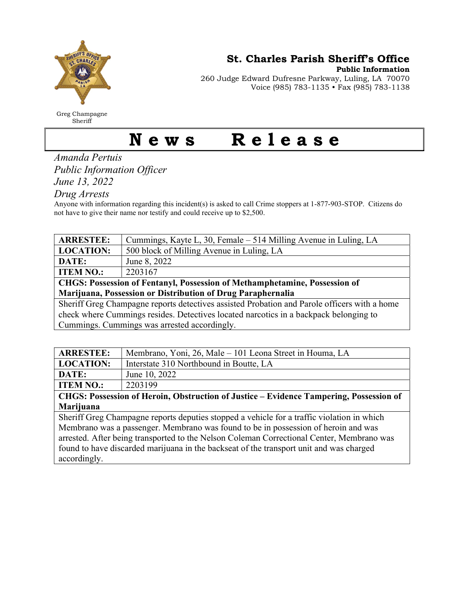

Greg Champagne Sheriff

St. Charles Parish Sheriff's Office

Public Information

260 Judge Edward Dufresne Parkway, Luling, LA 70070 Voice (985) 783-1135 • Fax (985) 783-1138

## News Release

Amanda Pertuis Public Information Officer

June 13, 2022

Drug Arrests

Anyone with information regarding this incident(s) is asked to call Crime stoppers at 1-877-903-STOP. Citizens do not have to give their name nor testify and could receive up to \$2,500.

| <b>ARRESTEE:</b>                                                                             | Cummings, Kayte L, 30, Female – 514 Milling Avenue in Luling, LA |  |
|----------------------------------------------------------------------------------------------|------------------------------------------------------------------|--|
| <b>LOCATION:</b>                                                                             | 500 block of Milling Avenue in Luling, LA                        |  |
| DATE:                                                                                        | June 8, 2022                                                     |  |
| <b>ITEM NO.:</b>                                                                             | 2203167                                                          |  |
| <b>CHGS: Possession of Fentanyl, Possession of Methamphetamine, Possession of</b>            |                                                                  |  |
| Marijuana, Possession or Distribution of Drug Paraphernalia                                  |                                                                  |  |
| Sheriff Greg Champagne reports detectives assisted Probation and Parole officers with a home |                                                                  |  |
| check where Cummings resides. Detectives located narcotics in a backpack belonging to        |                                                                  |  |
| Cummings. Cummings was arrested accordingly.                                                 |                                                                  |  |

| <b>ARRESTEE:</b>                                                                       | Membrano, Yoni, 26, Male – 101 Leona Street in Houma, LA |  |
|----------------------------------------------------------------------------------------|----------------------------------------------------------|--|
| <b>LOCATION:</b>                                                                       | Interstate 310 Northbound in Boutte, LA                  |  |
| DATE:                                                                                  | June 10, 2022                                            |  |
| <b>ITEM NO.:</b>                                                                       | 2203199                                                  |  |
| CHGS: Possession of Heroin, Obstruction of Justice – Evidence Tampering, Possession of |                                                          |  |
| Marijuana                                                                              |                                                          |  |

Sheriff Greg Champagne reports deputies stopped a vehicle for a traffic violation in which Membrano was a passenger. Membrano was found to be in possession of heroin and was arrested. After being transported to the Nelson Coleman Correctional Center, Membrano was found to have discarded marijuana in the backseat of the transport unit and was charged accordingly.